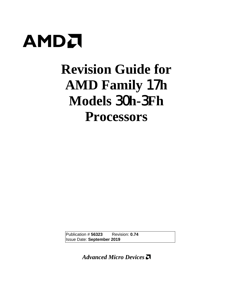

# **Revision Guide for AMD Family** 17**h Models** 30**h-**3**Fh Processors**

Publication # **56323** Revision: **0.74** Issue Date: **September 2019**

*Advanced Micro Devices*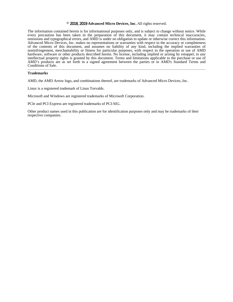#### **©** 2018, 2019 **Advanced Micro Devices**, **Inc**. All rights reserved.

The information contained herein is for informational purposes only, and is subject to change without notice. While every precaution has been taken in the preparation of this document, it may contain technical inaccuracies, omissions and typographical errors, and AMD is under no obligation to update or otherwise correct this information. Advanced Micro Devices, Inc. makes no representations or warranties with respect to the accuracy or completeness of the contents of this document, and assumes no liability of any kind, including the implied warranties of noninfringement, merchantability or fitness for particular purposes, with respect to the operation or use of AMD hardware, software or other products described herein. No license, including implied or arising by estoppel, to any intellectual property rights is granted by this document. Terms and limitations applicable to the purchase or use of AMD's products are as set forth in a signed agreement between the parties or in AMD's Standard Terms and Conditions of Sale.

#### **Trademarks**

AMD, the AMD Arrow logo, and combinations thereof, are trademarks of Advanced Micro Devices, Inc.

Linux is a registered trademark of Linus Torvalds.

Microsoft and Windows are registered trademarks of Microsoft Corporation.

PCIe and PCI Express are registered trademarks of PCI-SIG.

Other product names used in this publication are for identification purposes only and may be trademarks of their respective companies.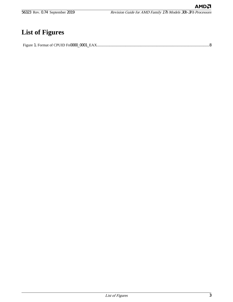56323 Rev. 0.74 September 2019 Revision Guide for AMD Family 17<sup>h</sup> Models 30h-3Fh Processors

# **List of Figures**

Figure 1. Format of CPUID Fn0000\_0001\_EAX[......................................................................................................................8](#page-7-0)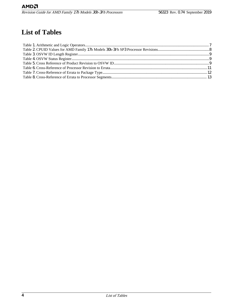## **List of Tables**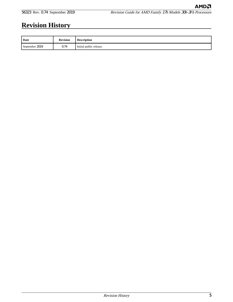# **Revision History**

| Date           | <b>Revision</b> | <b>Description</b>      |
|----------------|-----------------|-------------------------|
| September 2019 | 0.74            | Initial public release. |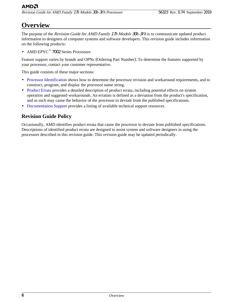Revision Guide for AMD Family 17h Models 30h-3Fh Processors 56323 Rev. 0.74 September 2019

## **Overview**

The purpose of the Revision Guide for AMD Family 17h Models 30h-3Fh is to communicate updated product information to designers of computer systems and software developers. This revision guide includes information on the following products:

• AMD EPYC™ 7002 Series Processors

Feature support varies by brands and OPNs (Ordering Part Number). To determine the features supported by your processor, contact your customer representative.

This guide consists of these major sections:

- Processor [Identification](#page-7-0) shows how to determine the processor revision and workaround requirements, and to construct, program, and display the processor name string.
- [Product](#page-10-0) Errata provides a detailed description of product errata, including potential effects on system operation and suggested workarounds. An erratum is defined as a deviation from the product's specification, and as such may cause the behavior of the processor to deviate from the published specifications.
- [Documentation](#page-26-0) Support provides a listing of available technical support resources.

### **Revision Guide Policy**

Occasionally, AMD identifies product errata that cause the processor to deviate from published specifications. Descriptions of identified product errata are designed to assist system and software designers in using the processors described in this revision guide. This revision guide may be updated periodically.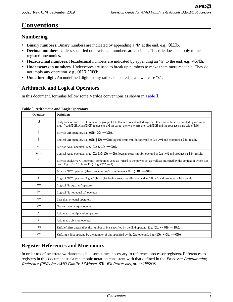### <span id="page-6-0"></span>**Numbering**

- **Binary numbers**. Binary numbers are indicated by appending a "b" at the end, e.g., 0110b.
- **Decimal numbers**. Unless specified otherwise, all numbers are decimal. This rule does not apply to the register mnemonics.
- **Hexadecimal numbers**. Hexadecimal numbers are indicated by appending an "h" to the end, e.g., 45F8h.
- **Underscores in numbers**. Underscores are used to break up numbers to make them more readable. They do not imply any operation. e.g., 0110\_1100b.
- **Undefined digit**. An undefined digit, in any radix, is notated as a lower case "x".

### **Arithmetic and Logical Operators**

In this document, formulas follow some Verilog conventions as shown in Table 1.

| Operator     | <b>Definition</b>                                                                                                                                                                                                                                     |
|--------------|-------------------------------------------------------------------------------------------------------------------------------------------------------------------------------------------------------------------------------------------------------|
| $\{\}$       | Curly brackets are used to indicate a group of bits that are concatenated together. Each set of bits is separated by a comma.<br>E.g., {Addr[3:2], Xlate[3:0]} represents a 6-bit value; the two MSBs are Addr[3:2] and the four LSBs are Xlate[3:0]. |
|              | Bitwise OR operator. E.g. $(01b   10b == 11b)$ .                                                                                                                                                                                                      |
| Ш            | Logical OR operator. E.g. (01b    10b = 1b); logical treats multibit operand as 1 if $>=$ 1 and produces a 1-bit result.                                                                                                                              |
| &            | Bitwise AND operator. E.g. $(01b \& 10b == 00b)$ .                                                                                                                                                                                                    |
| &&           | Logical AND operator. E.g. (01b && 10b = 1b); logical treats multibit operand as 1 if $>=$ 1 and produces a 1-bit result.                                                                                                                             |
| Λ            | Bitwise exclusive-OR operator; sometimes used as "raised to the power of" as well, as indicated by the context in which it is<br>used. E.g. $(01b \land 10b == 11b)$ . E.g. $(2 \land 2 == 4)$ .                                                      |
| $\thicksim$  | Bitwise NOT operator (also known as one's complement). E.g. $(\sim 10b = 01b)$ .                                                                                                                                                                      |
|              | Logical NOT operator. E.g. (!10b = 0b); logical treats multibit operand as 1 if $>=$ 1 and produces a 1-bit result.                                                                                                                                   |
| $=$          | Logical "is equal to" operator.                                                                                                                                                                                                                       |
| $!=$         | Logical "is not equal to" operator.                                                                                                                                                                                                                   |
| $\Leftarrow$ | Less than or equal operator.                                                                                                                                                                                                                          |
| $>=$         | Greater than or equal operator.                                                                                                                                                                                                                       |
| $\ast$       | Arithmetic multiplication operator.                                                                                                                                                                                                                   |
|              | Arithmetic division operator.                                                                                                                                                                                                                         |
| <<           | Shift left first operand by the number of bits specified by the 2nd operand. E.g. $(01b \ll 01b == 10b)$ .                                                                                                                                            |
| >            | Shift right first operand by the number of bits specified by the 2nd operand. E.g. ( $10b \gg 01b = 01b$ ).                                                                                                                                           |

#### **Table** 1. **Arithmetic and Logic Operators**

### **Register References and Mnemonics**

In order to define errata workarounds it is sometimes necessary to reference processor registers. References to registers in this document use a mnemonic notation consistent with that defined in the *Processor Programming* Reference (PPR) for AMD Family 17 Model 30h-3Fh Processors, order# 55803.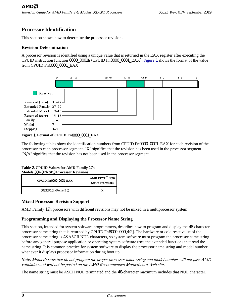### <span id="page-7-0"></span>**Processor Identification**

This section shows how to determine the processor revision.

#### **Revision Determination**

A processor revision is identified using a unique value that is returned in the EAX register after executing the CPUID instruction function 0000\_0001h (CPUID Fn0000\_0001\_EAX). Figure 1 shows the format of the value from CPUID Fn0000\_0001\_EAX.



#### **Figure** 1. **Format of CPUID Fn**0000\_0001\_**EAX**

The following tables show the identification numbers from CPUID Fn0000 0001 EAX for each revision of the processor to each processor segment. "X" signifies that the revision has been used in the processor segment. "N/A" signifies that the revision has not been used in the processor segment.

#### **Table** 2. **CPUID Values for AMD Family** 17**h Models** 30**h-**3**Fh SP**3 **Processor Revisions**

| <b>CPUID Fn0000 0001 EAX</b> | AMD EPYC <sup><math>m</math></sup> 7002<br><b>Series Processors</b> |
|------------------------------|---------------------------------------------------------------------|
| 00830F10h (Rome-B0)          |                                                                     |

#### **Mixed Processor Revision Support**

AMD Family 17h processors with different revisions may not be mixed in a multiprocessor system.

#### **Programming and Displaying the Processor Name String**

This section, intended for system software programmers, describes how to program and display the 48-character processor name string that is returned by CPUID Fn8000\_000[4:2]. The hardware or cold reset value of the processor name string is 48 ASCII NUL characters, so system software must program the processor name string before any general purpose application or operating system software uses the extended functions that read the name string. It is common practice for system software to display the processor name string and model number whenever it displays processor information during boot up.

*Note*: Motherboards that do not program the proper processor name string and model number will not pass AMD validation and will not be posted on the AMD Recommended Motherboard Web site.

The name string must be ASCII NUL terminated and the 48-character maximum includes that NUL character.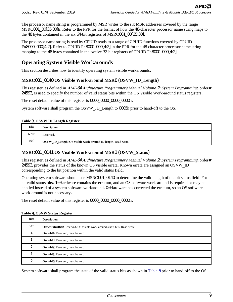<span id="page-8-0"></span>The processor name string is programmed by MSR writes to the six MSR addresses covered by the range MSRC001\_00[35:30]h. Refer to the PPR for the format of how the 48-character processor name string maps to the 48 bytes contained in the six 64-bit registers of MSRC001\_00[35:30].

The processor name string is read by CPUID reads to a range of CPUID functions covered by CPUID Fn8000\_000[4:2]. Refer to CPUID Fn8000\_000[4:2] in the PPR for the 48-character processor name string mapping to the 48 bytes contained in the twelve 32-bit registers of CPUID Fn8000 000[4:2].

### **Operating System Visible Workarounds**

This section describes how to identify operating system visible workarounds.

#### **MSRC**001\_0140 **OS Visible Work-around MSR**0 (**OSVW**\_**ID**\_**Length**)

This register, as defined in AMD64 Architecture Programmer's Manual Volume 2: System Programming, order# 24593, is used to specify the number of valid status bits within the OS Visible Work-around status registers.

The reset default value of this register is 0000 0000 00000 00000h.

System software shall program the OSVW\_ID\_Length to 0005h prior to hand-off to the OS.

#### **Table** 3. **OSVW ID Length Register**

| <b>Bits</b> | <b>Description</b>                                                   |
|-------------|----------------------------------------------------------------------|
| 63:16       | Reserved.                                                            |
| 15:0        | <b>OSVW ID Length: OS visible work-around ID length. Read-write.</b> |

#### **MSRC**001\_0141 **OS Visible Work-around MSR**1 (**OSVW**\_**Status**)

This register, as defined in AMD64 Architecture Programmer's Manual Volume 2: System Programming, order# 24593, provides the status of the known OS visible errata. Known errata are assigned an OSVW\_ID corresponding to the bit position within the valid status field.

Operating system software should use MSRC001\_0140 to determine the valid length of the bit status field. For all valid status bits: 1=Hardware contains the erratum, and an OS software work-around is required or may be applied instead of a system software workaround. 0=Hardware has corrected the erratum, so an OS software work-around is not necessary.

The reset default value of this register is 0000 0000 00000 00000h.

| <b>Bits</b> | <b>Description</b>                                                               |
|-------------|----------------------------------------------------------------------------------|
| 63:5        | <b>OsywStatusBits:</b> Reserved. OS visible work-around status bits. Read-write. |
| 4           | <b>OsvwId4:</b> Reserved, must be zero.                                          |
| 3           | <b>OsywId3:</b> Reserved, must be zero.                                          |
| 2           | <b>OsywId2:</b> Reserved, must be zero.                                          |
|             | <b>OsywId1:</b> Reserved, must be zero.                                          |
| $\theta$    | <b>OsywId0:</b> Reserved, must be zero.                                          |

#### **Table** 4. **OSVW Status Register**

System software shall program the state of the valid status bits as shown in [Table](#page-9-0) 5 prior to hand-off to the OS.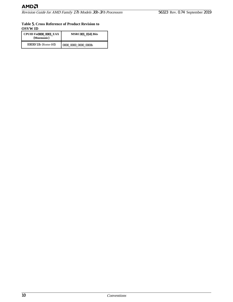#### <span id="page-9-0"></span>**Table** 5. **Cross Reference of Product Revision to OSVW ID**

| <b>CPUID Fn0000 0001 EAX</b><br>(Mnemonic) | <b>MSRC001 0141 Bits</b> |
|--------------------------------------------|--------------------------|
| 00830F10h (Rome-B0)                        | 0000 0000 0000 0000h     |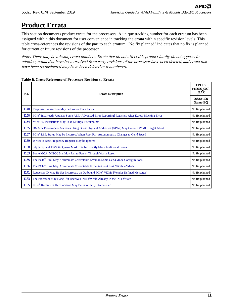АМDЛ

## <span id="page-10-0"></span>**Product Errata**

This section documents product errata for the processors. A unique tracking number for each erratum has been assigned within this document for user convenience in tracking the errata within specific revision levels. This table cross-references the revisions of the part to each erratum. "No fix planned" indicates that no fix is planned for current or future revisions of the processor.

Note: There may be missing errata numbers. Errata that do not affect this product family do not appear. In addition, errata that have been resolved from early revisions of the processor have been deleted, and errata that have been reconsidered may have been deleted or renumbered.

| No.  | <b>Errata Description</b>                                                                                       | <b>CPUID</b><br>Fn0000 0001<br>EAX |
|------|-----------------------------------------------------------------------------------------------------------------|------------------------------------|
|      |                                                                                                                 | 00830F10h<br>(Rome-B0)             |
| 1140 | Response Transaction May be Lost on Data Fabric                                                                 | No fix planned                     |
| 1150 | PCIe <sup>®</sup> Incorrectly Updates Some AER (Advanced Error Reporting) Registers After Egress Blocking Error | No fix planned                     |
| 1154 | <b>MOV SS Instructions May Take Multiple Breakpoints</b>                                                        | No fix planned                     |
| 1155 | DMA or Peer-to-peer Accesses Using Guest Physical Addresses (GPAs) May Cause IOMMU Target Abort                 | No fix planned                     |
| 1157 | PCIe® Link Status May be Incorrect When Root Port Autonomously Changes to Gen4 Speed                            | No fix planned                     |
| 1159 | Writes to Base Frequency Register May be Ignored                                                                | No fix planned                     |
| 1160 | SdpParity and XiVictimQueue Mask Bits Incorrectly Mask Additional Errors                                        | No fix planned                     |
| 1163 | Some MCA MISCO Bits May Fail to Persist Through Warm Reset                                                      | No fix planned                     |
| 1165 | The PCIe <sup>®</sup> Link May Accumulate Correctable Errors in Some Gen3 Mode Configurations                   | No fix planned                     |
| 1166 | The PCIe <sup>®</sup> Link May Accumulate Correctable Errors in Gen4 Link Width x2 Mode                         | No fix planned                     |
| 1171 | Requester ID May Be Set Incorrectly on Outbound PCIe® VDMs (Vendor Defined Messages)                            | No fix planned                     |
| 1183 | The Processor May Hang If it Receives INIT# While Already In the INIT# State                                    | No fix planned                     |
| 1185 | PCIe <sup>®</sup> Receive Buffer Location May Be Incorrectly Overwritten                                        | No fix planned                     |

#### **Table** 6. **Cross-Reference of Processor Revision to Errata**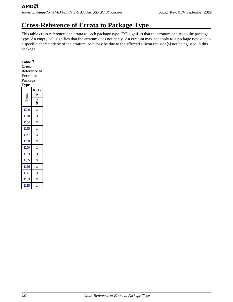<span id="page-11-0"></span>Revision Guide for AMD Family 17<sup>h</sup> Models 30h-3Fh Processors 56323 Rev. 0.74 September 2019

# **Cross-Reference of Errata to Package Type**

This table cross-references the errata to each package type. "X" signifies that the erratum applies to the package type. An empty cell signifies that the erratum does not apply. An erratum may not apply to a package type due to a specific characteristic of the erratum, or it may be due to the affected silicon revision(s) not being used in this package.

#### **Table** 7.

**Cross-Reference of**

### **Errata to**

**Package**

|       | Packa<br>ge |
|-------|-------------|
| Errat | ŠP3         |
| 1140  | X           |
| 1150  | X           |
| 1154  | X           |
| 1155  | X           |
| 1157  | X           |
| 1159  | X           |
| 1160  | X           |
| 1163  | X           |
| 1165  | X           |
| 1166  | X           |
| 1171  | X           |
| 1183  | Х           |
| 1185  | X           |

12 Cross-Reference of Errata to Package Type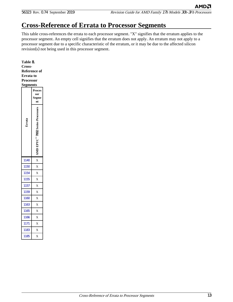# <span id="page-12-0"></span>**Cross-Reference of Errata to Processor Segments**

This table cross-references the errata to each processor segment. "X" signifies that the erratum applies to the processor segment. An empty cell signifies that the erratum does not apply. An erratum may not apply to a processor segment due to a specific characteristic of the erratum, or it may be due to the affected silicon revision(s) not being used in this processor segment.

**Table** 8. **Cross-Reference of Errata to Processor Segments**

| <u>Segments</u> |                              |
|-----------------|------------------------------|
|                 | Proces<br>sor<br>Segme<br>nt |
|                 |                              |
| 1140            | X                            |
| 1150            | X                            |
| 1154            | X                            |
| 1155            | X                            |
|                 |                              |
| 1157            | X                            |
| 1159            | X                            |
| 1160            | X                            |
| 1163            | X                            |
| 1165            | X                            |
| 1166            | X                            |
| 1171            | X                            |
| 1183            | X                            |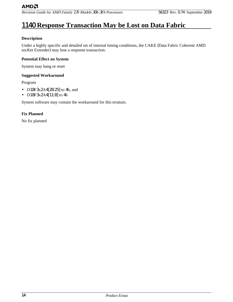# <span id="page-13-0"></span>1140 **Response Transaction May be Lost on Data Fabric**

#### **Description**

Under a highly specific and detailed set of internal timing conditions, the CAKE (Data Fabric Coherent AMD socKet Extender) may lose a response transaction.

#### **Potential Effect on System**

System may hang or reset

#### **Suggested Workaround**

Program

- D18F3x2A4[28:25] to 4h, and
- D18F3x2A4[11:8] to 4h

System software may contain the workaround for this erratum.

#### **Fix Planned**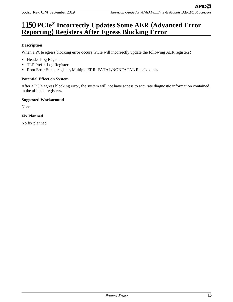### <span id="page-14-0"></span>1150 **PCIe® Incorrectly Updates Some AER** (**Advanced Error Reporting**) **Registers After Egress Blocking Error**

#### **Description**

When a PCIe egress blocking error occurs, PCIe will incorrectly update the following AER registers:

- Header Log Register
- TLP Prefix Log Register
- Root Error Status register, Multiple ERR\_FATAL/NONFATAL Received bit.

#### **Potential Effect on System**

After a PCIe egress blocking error, the system will not have access to accurate diagnostic information contained in the affected registers.

#### **Suggested Workaround**

None

**Fix Planned**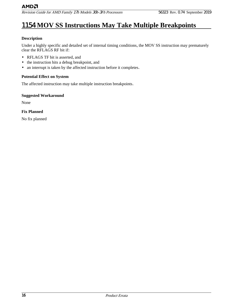# <span id="page-15-0"></span>1154 **MOV SS Instructions May Take Multiple Breakpoints**

#### **Description**

Under a highly specific and detailed set of internal timing conditions, the MOV SS instruction may prematurely clear the RFLAGS RF bit if:

- RFLAGS TF bit is asserted, and
- the instruction hits a debug breakpoint, and
- an interrupt is taken by the affected instruction before it completes.

#### **Potential Effect on System**

The affected instruction may take multiple instruction breakpoints.

#### **Suggested Workaround**

None

#### **Fix Planned**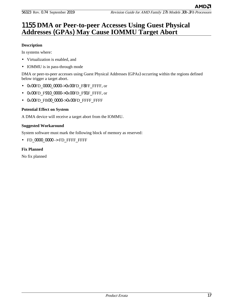### <span id="page-16-0"></span>1155 **DMA or Peer-to-peer Accesses Using Guest Physical Addresses** (**GPAs**) **May Cause IOMMU Target Abort**

#### **Description**

In systems where:

- Virtualization is enabled, and
- IOMMU is in pass-through mode

DMA or peer-to-peer accesses using Guest Physical Addresses (GPAs) occurring within the regions defined below trigger a target abort.

- 0x00FD 0000 0000->0x00FD F8FF FFFF, or
- 0x00FD\_F910\_0000->0x00FD\_F91F\_FFFF, or
- 0x00FD FB00 0000->0x00FD FFFF FFFF

#### **Potential Effect on System**

A DMA device will receive a target abort from the IOMMU.

#### **Suggested Workaround**

System software must mark the following block of memory as reserved:

• FD\_0000\_0000 -> FD\_FFFF\_FFFF

#### **Fix Planned**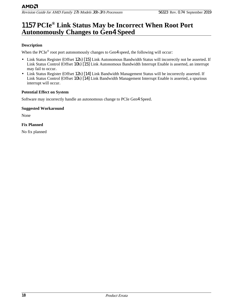### <span id="page-17-0"></span>1157 **PCIe® Link Status May be Incorrect When Root Port Autonomously Changes to Gen**4 **Speed**

#### **Description**

When the PCIe® root port autonomously changes to Gen4 speed, the following will occur:

- Link Status Register (Offset 12h) [15] Link Autonomous Bandwidth Status will incorrectly not be asserted. If Link Status Control (Offset 10h) [15] Link Autonomous Bandwidth Interrupt Enable is asserted, an interrupt may fail to occur.
- Link Status Register (Offset 12h) [14] Link Bandwidth Management Status will be incorrectly asserted. If Link Status Control (Offset 10h) [14] Link Bandwidth Management Interrupt Enable is asserted, a spurious interrupt will occur.

#### **Potential Effect on System**

Software may incorrectly handle an autonomous change to PCIe Gen4 Speed.

#### **Suggested Workaround**

None

#### **Fix Planned**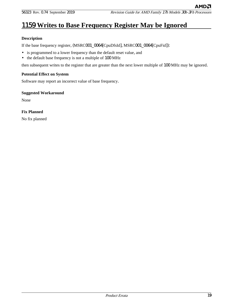# <span id="page-18-0"></span>1159 **Writes to Base Frequency Register May be Ignored**

#### **Description**

If the base frequency register, (MSRC001\_0064[CpuDfsId], MSRC001\_0064[CpuFid]):

- is programmed to a lower frequency than the default reset value, and
- the default base frequency is not a multiple of 100 MHz

then subsequent writes to the register that are greater than the next lower multiple of 100 MHz may be ignored.

#### **Potential Effect on System**

Software may report an incorrect value of base frequency.

#### **Suggested Workaround**

None

#### **Fix Planned**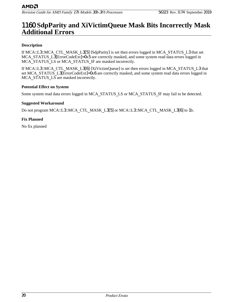### <span id="page-19-0"></span>1160 **SdpParity and XiVictimQueue Mask Bits Incorrectly Mask Additional Errors**

#### **Description**

If MCA::L3::MCA\_CTL\_MASK\_L3[5] (SdpParity) is set then errors logged in MCA\_STATUS\_L3 that set MCA STATUS L3[ErrorCodeExt]=0x5 are correctly masked, and some system read data errors logged in MCA STATUS LS or MCA STATUS IF are masked incorrectly.

If MCA::L3::MCA\_CTL\_MASK\_L3[6] (XiVictimQueue) is set then errors logged in MCA\_STATUS\_L3 that set MCA\_STATUS\_L3[ErrorCodeExt]=0x6 are correctly masked, and some system read data errors logged in MCA STATUS LS are masked incorrectly.

#### **Potential Effect on System**

Some system read data errors logged in MCA\_STATUS\_LS or MCA\_STATUS\_IF may fail to be detected.

#### **Suggested Workaround**

Do not program MCA::L3::MCA\_CTL\_MASK\_L3[5] or MCA::L3::MCA\_CTL\_MASK\_L3[6] to 1b.

#### **Fix Planned**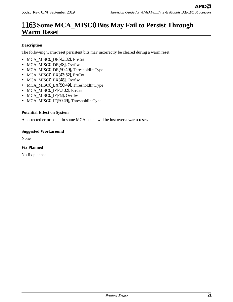### <span id="page-20-0"></span>1163 **Some MCA**\_**MISC**0 **Bits May Fail to Persist Through Warm Reset**

#### **Description**

The following warm-reset persistent bits may incorrectly be cleared during a warm reset:

- MCA MISC0 DE[43:32], ErrCnt
- MCA MISC0 DE[48], Ovrflw
- MCA MISC0 DE[50:49], ThresholdIntType
- MCA MISC0 EX[43:32], ErrCnt
- MCA MISC0 EX[48], Ovrflw
- MCA MISC0 EX[50:49], ThresholdIntType
- MCA MISC0 IF[43:32], ErrCnt
- MCA MISC0 IF[48], Ovrflw
- MCA MISC0 IF[50:49], ThresholdIntType

#### **Potential Effect on System**

A corrected error count in some MCA banks will be lost over a warm reset.

#### **Suggested Workaround**

None

#### **Fix Planned**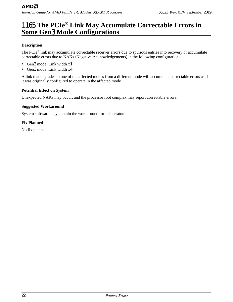### <span id="page-21-0"></span>1165 **The PCIe® Link May Accumulate Correctable Errors in Some Gen**3 **Mode Configurations**

#### **Description**

The PCIe<sup>®</sup> link may accumulate correctable receiver errors due to spurious entries into recovery or accumulate correctable errors due to NAKs (Negative Acknowledgements) in the following configurations:

- Gen3 mode, Link width x1
- Gen3 mode, Link width x4

A link that degrades to one of the affected modes from a different mode will accumulate correctable errors as if it was originally configured to operate in the affected mode.

#### **Potential Effect on System**

Unexpected NAKs may occur, and the processor root complex may report correctable errors.

#### **Suggested Workaround**

System software may contain the workaround for this erratum.

#### **Fix Planned**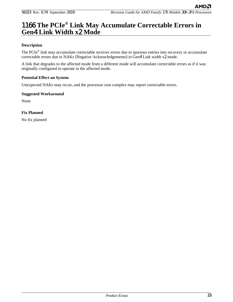АМDД

### <span id="page-22-0"></span>1166 **The PCIe® Link May Accumulate Correctable Errors in Gen**4 **Link Width x**2 **Mode**

#### **Description**

The PCIe<sup>®</sup> link may accumulate correctable receiver errors due to spurious entries into recovery or accumulate correctable errors due to NAKs (Negative Acknowledgements) in Gen4 Link width x2 mode.

A link that degrades to the affected mode from a different mode will accumulate correctable errors as if it was originally configured to operate in the affected mode.

#### **Potential Effect on System**

Unexpected NAKs may occur, and the processor root complex may report correctable errors.

#### **Suggested Workaround**

None

#### **Fix Planned**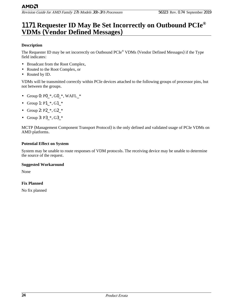### <span id="page-23-0"></span>1171 **Requester ID May Be Set Incorrectly on Outbound PCIe® VDMs** (**Vendor Defined Messages**)

#### **Description**

The Requester ID may be set incorrectly on Outbound PCIe® VDMs (Vendor Defined Messages) if the Type field indicates:

- Broadcast from the Root Complex,
- Routed to the Root Complex, or
- Routed by ID.

VDMs will be transmitted correctly within PCIe devices attached to the following groups of processor pins, but not between the groups.

- Group 0:  $P0.*$ ,  $GO.*$ ,  $WAFL.*$
- Group 1: P1  $*,$  G1  $*$
- Group 2: P2\_\*, G2\_\*
- Group 3: P3  $*, G3$   $*$

MCTP (Management Component Transport Protocol) is the only defined and validated usage of PCIe VDMs on AMD platforms.

#### **Potential Effect on System**

System may be unable to route responses of VDM protocols. The receiving device may be unable to determine the source of the request.

#### **Suggested Workaround**

None

#### **Fix Planned**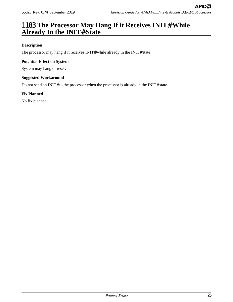АМDД

### <span id="page-24-0"></span>1183 **The Processor May Hang If it Receives INIT**# **While Already In the INIT**# **State**

#### **Description**

The processor may hang if it receives INIT# while already in the INIT# state.

#### **Potential Effect on System**

System may hang or reset.

#### **Suggested Workaround**

Do not send an INIT# to the processor when the processor is already in the INIT# state.

#### **Fix Planned**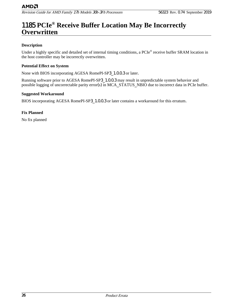### <span id="page-25-0"></span>1185 **PCIe® Receive Buffer Location May Be Incorrectly Overwritten**

#### **Description**

Under a highly specific and detailed set of internal timing conditions, a PCIe® receive buffer SRAM location in the host controller may be incorrectly overwritten.

#### **Potential Effect on System**

None with BIOS incorporating AGESA RomePI-SP3\_1.0.0.3 or later.

Running software prior to AGESA RomePI-SP3\_1.0.0.3 may result in unpredictable system behavior and possible logging of uncorrectable parity error(s) in MCA\_STATUS\_NBIO due to incorrect data in PCIe buffer.

#### **Suggested Workaround**

BIOS incorporating AGESA RomePI-SP3\_1.0.0.3 or later contains a workaround for this erratum.

#### **Fix Planned**